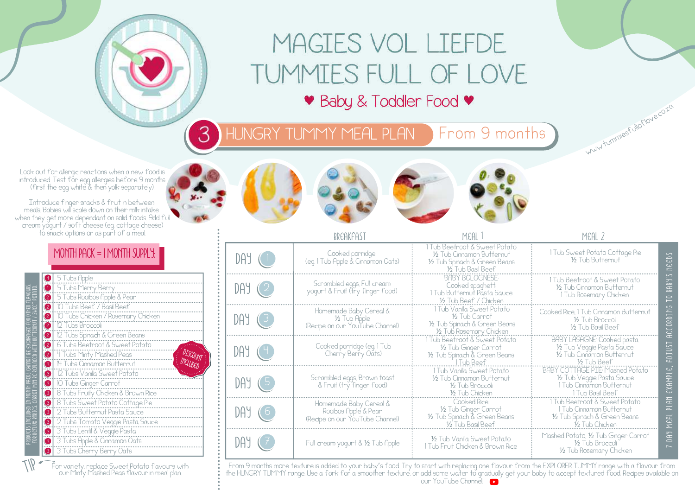# MAGIES VOL LIEFDE TUMMIES FULL OF LOVE

♥ Baby & Toddler Food ♥

HUNGRY TUMMY MEAL PLAN From 9 months 3

Look out for allergic reactions when a new food is introduced. Test for egg allergies before 9 months (first the egg white & then yolk separately).

Introduce finger snacks & fruit in between meals. Babies will scale down on their milk intake when they get more dependant on solid foods. Add full cream yogurt / soft cheese (eg. cottage cheese) to snack options or as part of a meal.

### MONTH PACK = 1 MONTH SUPPLY:

|    | 5 Tubs Apple<br>$\bullet$                                                                    |
|----|----------------------------------------------------------------------------------------------|
|    | <b>1</b> 5 Tubs Merry Berry                                                                  |
|    | 5 Tubs Rooibos Apple & Pean<br>$\bullet$                                                     |
|    | 10 Tubs Beef / Basil Beef<br>$\bullet$                                                       |
|    | $  \bullet  $<br>10 Tubs Chicken / Rosemary Chicken                                          |
|    | $\bullet$<br>12 Tubs Broccoli                                                                |
|    | ◙∣<br>12 Tubs Spinach & Green Beans                                                          |
|    | Ø<br>6 Tubs Beetroot & Sweet Potato                                                          |
|    | <b>DISCOUNT</b><br>$\bullet$<br>4 Tubs Minty Mashed Peas                                     |
|    | 14 Tubs Cinnamon Butternut<br>$\bullet$                                                      |
|    | 12 Tubs Vanilla Sweet Potato<br>$\bullet$                                                    |
|    | ❸<br>10 Tubs Ginger Carrot                                                                   |
|    | 8 Tubs Fruity Chicken & Brown Rice<br>◉                                                      |
|    | $\bullet$<br>8 Tubs Sweet Potato Cottage Pie                                                 |
|    | 2 Tubs Butternut Pasta Sauce<br>$\bullet$                                                    |
|    | $\bullet$<br>2 Tubs Tomato Veggie Pasta Sauce                                                |
|    | $\bullet$<br>3 Tubs Lentil & Veggie Pasta                                                    |
| ៊ី | $\bullet$<br>3 Tubs Apple & Cinnamon Oats                                                    |
|    | 3 Tubs Cherry Berry Oats<br>$\bullet$                                                        |
|    |                                                                                              |
|    | For variety, replace Sweet Potato flavours with<br>Our Minty Mashed Boss flavour in most dan |

For variety, replace Sweet Potato flavours with our Minty Mashed Peas flavour in meal plan.







ww.tummiesfulioflove.co.zo

|             | DDCAKFAST                                                                         | MEAL                                                                                                             | MCAL 2                                                                                                               |                              |
|-------------|-----------------------------------------------------------------------------------|------------------------------------------------------------------------------------------------------------------|----------------------------------------------------------------------------------------------------------------------|------------------------------|
| $DAY$ $(1)$ | Cooked porridge<br>(eq. 1 Tub Apple & Cinnamon Oats)                              | 1 Tub Beetroot & Sweet Potato<br>16 Tub Cinnamon Butternut<br>1/2 Tub Spinach & Green Beans<br>16 Tub Basil Beef | 1 Tub Sweet Potato Cottage Pie<br>16 Tub Butternut                                                                   | EED <sub>S</sub><br>Ξ        |
| DAY(2)      | Scrambled eggs, Full cream<br>yogurt & Fruit (try finger food)                    | BABY BOI OGNESE<br>Cooked spaghetti<br>1 Tub Butternut Pasta Sauce<br>12 Tub Beef / Chicken                      | 1 Tub Beetroot & Sweet Potato<br>16 Tub Cinnamon Butternut<br>1 Tub Rosemary Chicken                                 | S.FOUS<br>$\approx$          |
|             | Homemade Baby Cereal &<br>1⁄2 Tub Apple<br>(Recipe on our YouTube Channel)        | 1 Tub Vanilla Sweet Potato<br>16 Tub Carrot<br>1/2 Tub Spinach & Green Beans<br>1/2 Tub Rosemary Chicken         | Cooked Rice 1 Tub Cinnamon Butternut<br>16 Tub Broccoli<br><b>16 Tub Basil Beef</b>                                  | ACCORDING                    |
| $DAY$ (4)   | Cooked porridge (eg 1 Tub<br>Cherry Berry Oats)                                   | 1 Tub Beetroot & Sweet Potato<br>1/2 Tub Ginger Carrot<br>1/2 Tub Spinach & Green Beans                          | BABY LASAGNE: Cooked pasta<br>1/2 Tub Veggie Pasta Sauce<br>1/2 Tub Cinnamon Butternut<br>½ Tub Beef                 | <b>TSUTGH</b>                |
| $DAY$ $G$   | Scrambled eggs, Brown toast<br>& Fruit (try finger food)                          | 1 Tub Vanilla Sweet Potato<br>16 Tub Cinnamon Butternut<br>16 Tub Broccoli<br>1⁄2 Tub Chicken                    | <b>BABY COTTAGE PIE: Mashed Potato</b><br>1/2 Tub Veggie Pasta Sauce<br>1 Tub Cinnamon Butternut<br>1 Tub Basil Beef | EXAMPLE,                     |
| DAY(6)      | Homemade Baby Cereal &<br>Rooibos Apple & Pear<br>(Recipe on our YouTube Channel) | Cooked Rice<br>1/2 Tub Ginger Carrot<br>1/2 Tub Spinach & Green Beans<br>16 Tub Basil Beef                       | 1 Tub Beetroot & Sweet Potato<br>1 Tub Cinnamon Butternut<br>1/2 Tub Spinach & Green Beans<br>1/2 Tub Chicken        | PLIAN<br>MEAL                |
|             | Full cream yogurt & 1/2 Tub Apple                                                 | 16 Tub Vanilla Sweet Potato<br>1 Tub Fruit Chicken & Brown Rice                                                  | Mashed Potato, 1/2 Tub Ginger Carrot<br>16 Tub Broccoli<br>1/2 Tub Rosemary Chicken                                  | <b>DAY</b><br>$\overline{ }$ |

From 9 months more texture is added to your baby's food. Try to start with replacing one flavour from the EXPLORER TUMMY range with a flavour from the HUNGRY TUMMY range. Use a fork for a smoother texture, or add some water to gradually get your baby to accept textured food. Recipes available on our YouTube Channel.